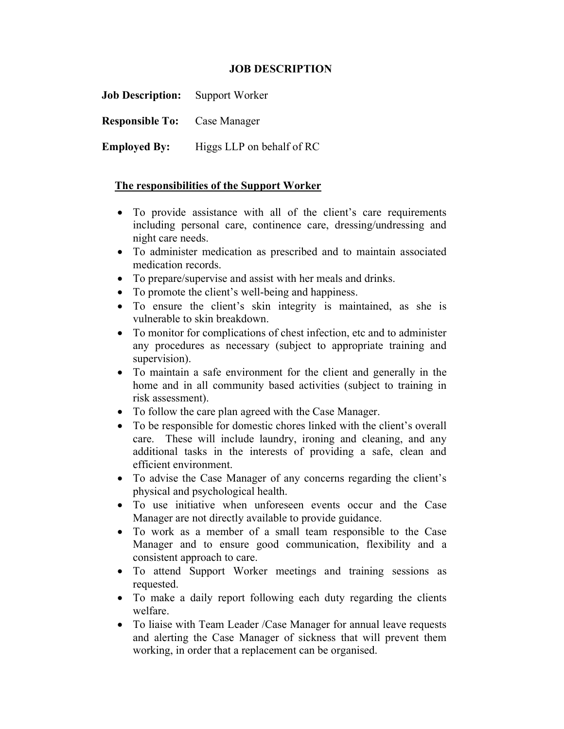## JOB DESCRIPTION

Job Description: Support Worker Responsible To: Case Manager

Employed By: Higgs LLP on behalf of RC

## The responsibilities of the Support Worker

- To provide assistance with all of the client's care requirements including personal care, continence care, dressing/undressing and night care needs.
- To administer medication as prescribed and to maintain associated medication records.
- To prepare/supervise and assist with her meals and drinks.
- To promote the client's well-being and happiness.
- To ensure the client's skin integrity is maintained, as she is vulnerable to skin breakdown.
- To monitor for complications of chest infection, etc and to administer any procedures as necessary (subject to appropriate training and supervision).
- To maintain a safe environment for the client and generally in the home and in all community based activities (subject to training in risk assessment).
- To follow the care plan agreed with the Case Manager.
- To be responsible for domestic chores linked with the client's overall care. These will include laundry, ironing and cleaning, and any additional tasks in the interests of providing a safe, clean and efficient environment.
- To advise the Case Manager of any concerns regarding the client's physical and psychological health.
- To use initiative when unforeseen events occur and the Case Manager are not directly available to provide guidance.
- To work as a member of a small team responsible to the Case Manager and to ensure good communication, flexibility and a consistent approach to care.
- To attend Support Worker meetings and training sessions as requested.
- To make a daily report following each duty regarding the clients welfare.
- To liaise with Team Leader /Case Manager for annual leave requests and alerting the Case Manager of sickness that will prevent them working, in order that a replacement can be organised.